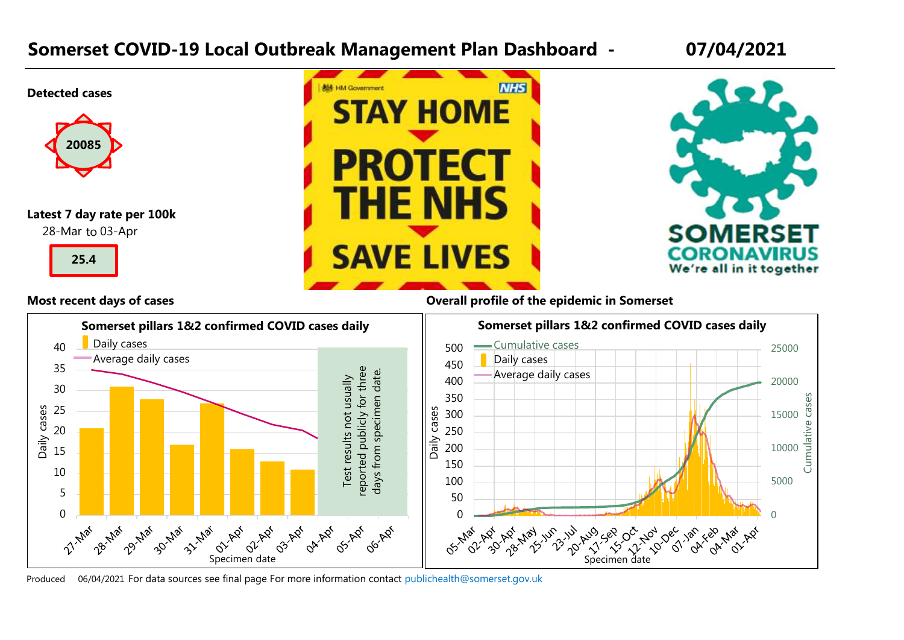### **Somerset COVID-19 Local Outbreak Management Plan Dashboard - 07/04/2021**



Produced 06/04/2021 For data sources see final page. [For more information contact p](mailto:publichealth@somerset.gov.uk)ublichealth@somerset.gov.uk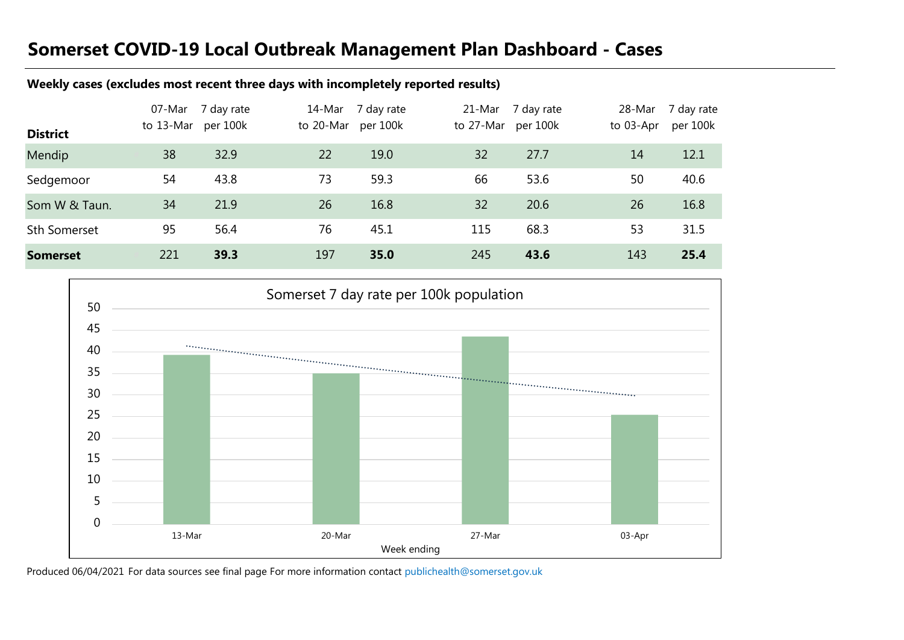# **Somerset COVID-19 Local Outbreak Management Plan Dashboard - Cases**

#### **Weekly cases (excludes most recent three days with incompletely reported results)**

| <b>District</b>     | 07-Mar<br>to 13-Mar | 7 day rate<br>per 100k | 14-Mar<br>to 20-Mar | 7 day rate<br>per 100k | 21-Mar<br>to 27-Mar | 7 day rate<br>per 100k | 28-Mar<br>to 03-Apr | 7 day rate<br>per 100k |
|---------------------|---------------------|------------------------|---------------------|------------------------|---------------------|------------------------|---------------------|------------------------|
| Mendip              | 38                  | 32.9                   | 22                  | 19.0                   | 32                  | 27.7                   | 14                  | 12.1                   |
| Sedgemoor           | 54                  | 43.8                   | 73                  | 59.3                   | 66                  | 53.6                   | 50                  | 40.6                   |
| Som W & Taun.       | 34                  | 21.9                   | 26                  | 16.8                   | 32                  | 20.6                   | 26                  | 16.8                   |
| <b>Sth Somerset</b> | 95                  | 56.4                   | 76                  | 45.1                   | 115                 | 68.3                   | 53                  | 31.5                   |
| <b>Somerset</b>     | 221                 | 39.3                   | 197                 | 35.0                   | 245                 | 43.6                   | 143                 | 25.4                   |



Produced 06/04/2021 For data sources see final page [For more information contact p](mailto:publichealth@somerset.gov.uk)ublichealth@somerset.gov.uk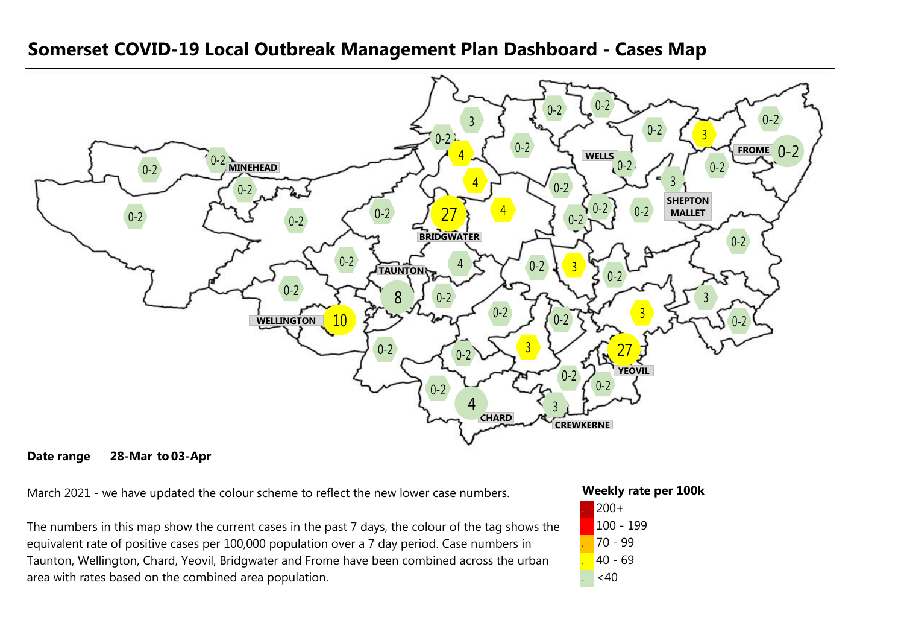

#### **Somerset COVID-19 Local Outbreak Management Plan Dashboard - Cases Map**

#### **Date range 28-Mar 03-Apr**

March 2021 - we have updated the colour scheme to reflect the new lower case numbers.

The numbers in this map show the current cases in the past 7 days, the colour of the tag shows the equivalent rate of positive cases per 100,000 population over a 7 day period. Case numbers in Taunton, Wellington, Chard, Yeovil, Bridgwater and Frome have been combined across the urban area with rates based on the combined area population.

#### **Weekly rate per 100k**

| $200+$    |
|-----------|
| 100 - 199 |
| 70 - 99   |
| 40 - 69   |
| <40       |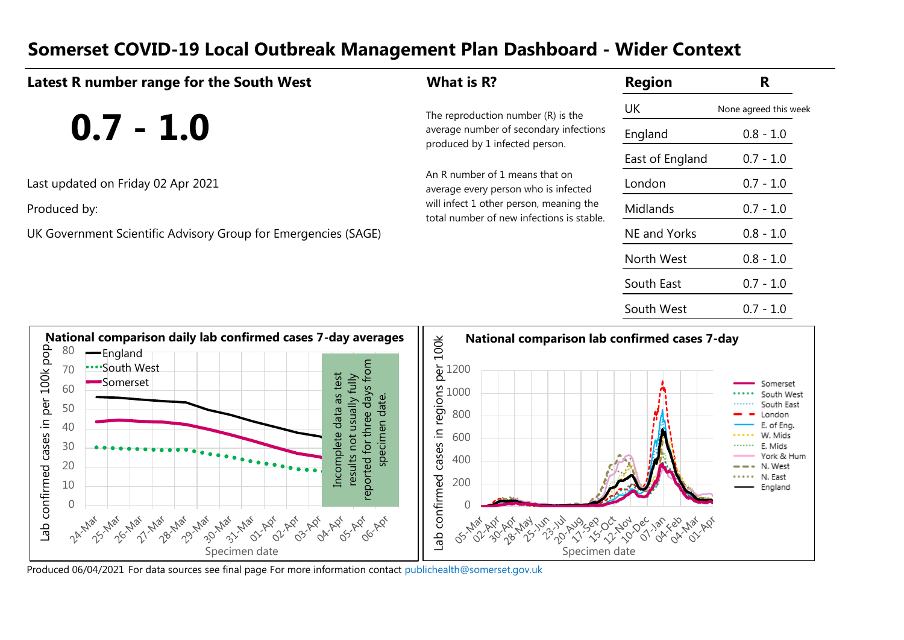#### **Somerset COVID-19 Local Outbreak Management Plan Dashboard - Wider Context**

| Latest R number range for the South West                       | What is R?                                                                                                                                                     | <b>Region</b>   | R                     |
|----------------------------------------------------------------|----------------------------------------------------------------------------------------------------------------------------------------------------------------|-----------------|-----------------------|
|                                                                | The reproduction number (R) is the                                                                                                                             | UK              | None agreed this week |
| $0.7 - 1.0$                                                    | average number of secondary infections<br>produced by 1 infected person.                                                                                       | England         | $0.8 - 1.0$           |
|                                                                |                                                                                                                                                                | East of England | $0.7 - 1.0$           |
| Last updated on Friday 02 Apr 2021                             | An R number of 1 means that on<br>average every person who is infected<br>will infect 1 other person, meaning the<br>total number of new infections is stable. | London          | $0.7 - 1.0$           |
| Produced by:                                                   |                                                                                                                                                                | Midlands        | $0.7 - 1.0$           |
| UK Government Scientific Advisory Group for Emergencies (SAGE) |                                                                                                                                                                | NE and Yorks    | $0.8 - 1.0$           |
|                                                                |                                                                                                                                                                | North West      | $0.8 - 1.0$           |
|                                                                |                                                                                                                                                                | South East      | $0.7 - 1.0$           |
|                                                                |                                                                                                                                                                | South West      | $0.7 - 1.0$           |



Produced 06/04/2021 For data sources see final page [For more information contact p](mailto:publichealth@somerset.gov.uk)ublichealth@somerset.gov.uk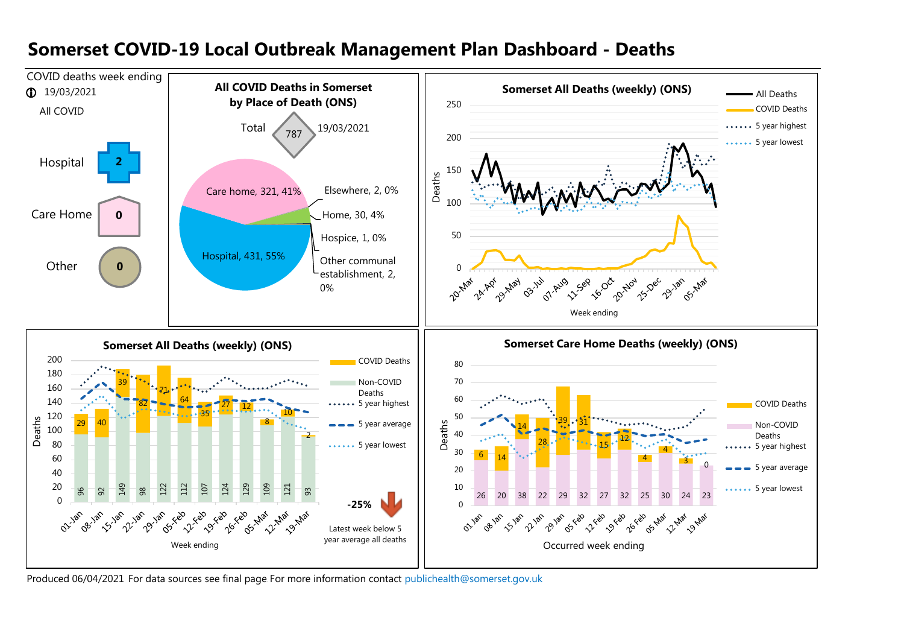

#### **Somerset COVID-19 Local Outbreak Management Plan Dashboard - Deaths**

Produced 06/04/2021 For data sources see final page.[For more information contact p](mailto:publichealth@somerset.gov.uk)ublichealth@somerset.gov.uk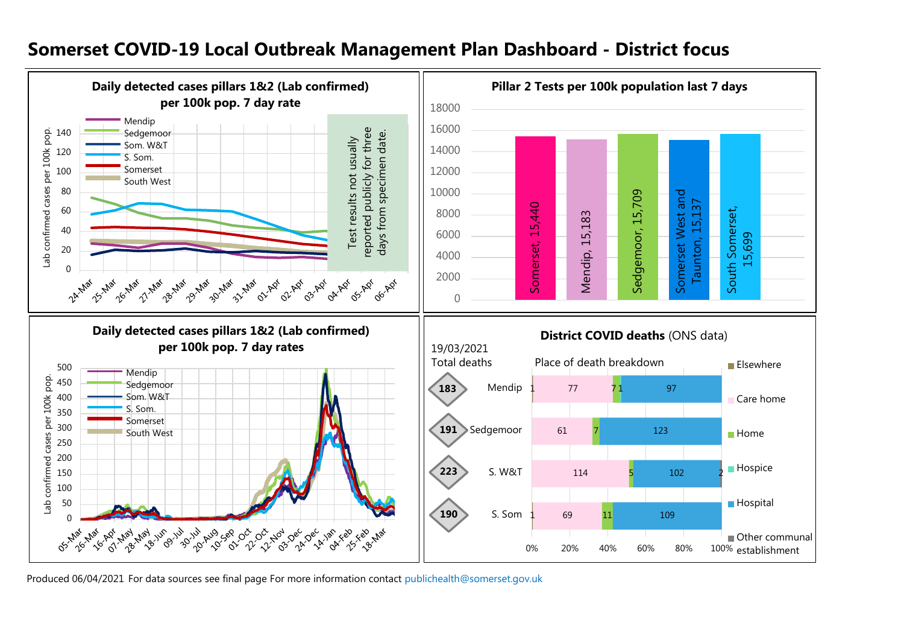#### **Somerset COVID-19 Local Outbreak Management Plan Dashboard - District focus**



Produced 06/04/2021 For data sources see final page [For more information contact p](mailto:publichealth@somerset.gov.uk)ublichealth@somerset.gov.uk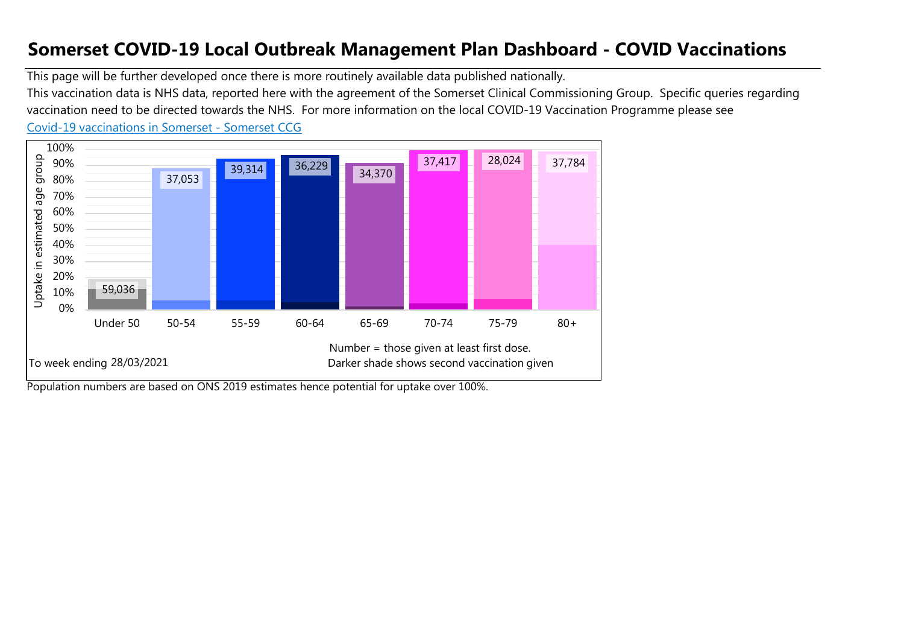## **Somerset COVID-19 Local Outbreak Management Plan Dashboard - COVID Vaccinations**

This page will be further developed once there is more routinely available data published nationally.

[Co](https://www.somersetccg.nhs.uk/health/local-services/health-services-during-coronavirus/covid-19-vaccinations-in-somerset/)vid-19 vaccinations in Somerset - Somerset CCG This vaccination data is NHS data, reported here with the agreement of the Somerset Clinical Commissioning Group. Specific queries regarding vaccination need to be directed towards the NHS. For more information on the local COVID-19 Vaccination Programme please see



Population numbers are based on ONS 2019 estimates hence potential for uptake over 100%.